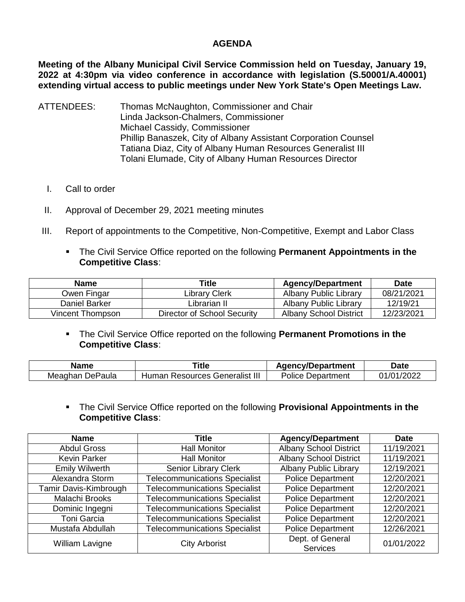## **AGENDA**

**Meeting of the Albany Municipal Civil Service Commission held on Tuesday, January 19, 2022 at 4:30pm via video conference in accordance with legislation (S.50001/A.40001) extending virtual access to public meetings under New York State's Open Meetings Law.** 

- ATTENDEES: Thomas McNaughton, Commissioner and Chair Linda Jackson-Chalmers, Commissioner Michael Cassidy, Commissioner Phillip Banaszek, City of Albany Assistant Corporation Counsel Tatiana Diaz, City of Albany Human Resources Generalist III Tolani Elumade, City of Albany Human Resources Director
	- I. Call to order
	- II. Approval of December 29, 2021 meeting minutes
- III. Report of appointments to the Competitive, Non-Competitive, Exempt and Labor Class
	- The Civil Service Office reported on the following **Permanent Appointments in the Competitive Class**:

| <b>Name</b>      | Title                       | <b>Agency/Department</b> | Date       |
|------------------|-----------------------------|--------------------------|------------|
| Owen Fingar      | Library Clerk               | Albany Public Library    | 08/21/2021 |
| Daniel Barker    | Librarian II                | Albany Public Library    | 12/19/21   |
| Vincent Thompson | Director of School Security | Albany School District   | 12/23/2021 |

 The Civil Service Office reported on the following **Permanent Promotions in the Competitive Class**:

| <b>Name</b> | Γitle                           | <b>Agency/Department</b> | <b>Date</b>       |
|-------------|---------------------------------|--------------------------|-------------------|
| Meaghan     | <b>Resources Generalist III</b> | Police Department        | /2022             |
| DePaula     | Human                           |                          | .1/0 <sup>4</sup> |

 The Civil Service Office reported on the following **Provisional Appointments in the Competitive Class**:

| <b>Name</b>           | <b>Agency/Department</b><br>Title    |                                     | <b>Date</b> |
|-----------------------|--------------------------------------|-------------------------------------|-------------|
| <b>Abdul Gross</b>    | <b>Hall Monitor</b>                  | <b>Albany School District</b>       | 11/19/2021  |
| Kevin Parker          | <b>Hall Monitor</b>                  | <b>Albany School District</b>       | 11/19/2021  |
| <b>Emily Wilwerth</b> | <b>Senior Library Clerk</b>          | <b>Albany Public Library</b>        | 12/19/2021  |
| Alexandra Storm       | <b>Telecommunications Specialist</b> | <b>Police Department</b>            | 12/20/2021  |
| Tamir Davis-Kimbrough | <b>Telecommunications Specialist</b> | <b>Police Department</b>            | 12/20/2021  |
| Malachi Brooks        | <b>Telecommunications Specialist</b> | <b>Police Department</b>            | 12/20/2021  |
| Dominic Ingegni       | <b>Telecommunications Specialist</b> | <b>Police Department</b>            | 12/20/2021  |
| <b>Toni Garcia</b>    | <b>Telecommunications Specialist</b> | <b>Police Department</b>            | 12/20/2021  |
| Mustafa Abdullah      | <b>Telecommunications Specialist</b> | <b>Police Department</b>            | 12/26/2021  |
| William Lavigne       | <b>City Arborist</b>                 | Dept. of General<br><b>Services</b> | 01/01/2022  |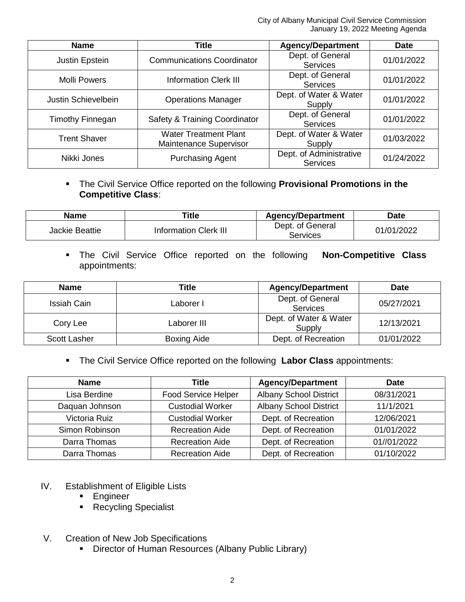| <b>Name</b>         | Title                                                  | <b>Agency/Department</b>                   | <b>Date</b> |
|---------------------|--------------------------------------------------------|--------------------------------------------|-------------|
| Justin Epstein      | <b>Communications Coordinator</b>                      | Dept. of General<br><b>Services</b>        | 01/01/2022  |
| <b>Molli Powers</b> | <b>Information Clerk III</b>                           | Dept. of General<br><b>Services</b>        | 01/01/2022  |
| Justin Schievelbein | <b>Operations Manager</b>                              | Dept. of Water & Water<br>Supply           | 01/01/2022  |
| Timothy Finnegan    | Safety & Training Coordinator                          | Dept. of General<br><b>Services</b>        | 01/01/2022  |
| <b>Trent Shaver</b> | <b>Water Treatment Plant</b><br>Maintenance Supervisor | Dept. of Water & Water<br>Supply           | 01/03/2022  |
| Nikki Jones         | <b>Purchasing Agent</b>                                | Dept. of Administrative<br><b>Services</b> | 01/24/2022  |

## The Civil Service Office reported on the following **Provisional Promotions in the Competitive Class**:

| Name           | <b>Title</b>                 | <b>Agency/Department</b>     | <b>Date</b> |
|----------------|------------------------------|------------------------------|-------------|
| Jackie Beattie | <b>Information Clerk III</b> | Dept. of General<br>Services | 01/01/2022  |

 The Civil Service Office reported on the following **Non-Competitive Class** appointments:

| <b>Name</b>         | Title              | <b>Agency/Department</b>            | <b>Date</b> |
|---------------------|--------------------|-------------------------------------|-------------|
| Issiah Cain         | Laborer I          | Dept. of General<br><b>Services</b> | 05/27/2021  |
| Cory Lee            | Laborer III        | Dept. of Water & Water<br>Supply    | 12/13/2021  |
| <b>Scott Lasher</b> | <b>Boxing Aide</b> | Dept. of Recreation                 | 01/01/2022  |

The Civil Service Office reported on the following **Labor Class** appointments:

| <b>Name</b>    | <b>Title</b>            | <b>Agency/Department</b>      | <b>Date</b> |
|----------------|-------------------------|-------------------------------|-------------|
| Lisa Berdine   | Food Service Helper     | <b>Albany School District</b> | 08/31/2021  |
| Daquan Johnson | <b>Custodial Worker</b> | <b>Albany School District</b> | 11/1/2021   |
| Victoria Ruiz  | <b>Custodial Worker</b> | Dept. of Recreation           | 12/06/2021  |
| Simon Robinson | <b>Recreation Aide</b>  | Dept. of Recreation           | 01/01/2022  |
| Darra Thomas   | <b>Recreation Aide</b>  | Dept. of Recreation           | 01//01/2022 |
| Darra Thomas   | <b>Recreation Aide</b>  | Dept. of Recreation           | 01/10/2022  |

- IV. Establishment of Eligible Lists
	- **Engineer**
	- **Recycling Specialist**
- V. Creation of New Job Specifications
	- Director of Human Resources (Albany Public Library)